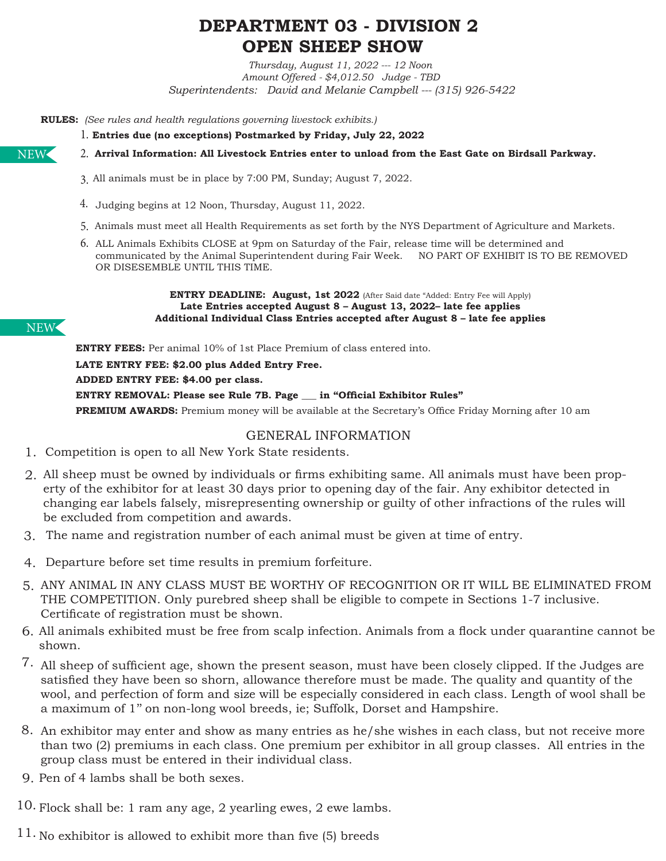# **DEPARTMENT 03 - DIVISION 2 OPEN SHEEP SHOW**

*Thursday, August 11, 2022 --- 12 Noon Amount Offered - \$4,012.50 Judge - TBD Superintendents: David and Melanie Campbell --- (315) 926-5422*

**RULES:** *(See rules and health regulations governing livestock exhibits.)* 

**Entries due (no exceptions) Postmarked by Friday, July 22, 2022** 1.

**Arrival Information: All Livestock Entries enter to unload from the East Gate on Birdsall Parkway.** 2.

- All animals must be in place by 7:00 PM, Sunday; August 7, 2022. 3.
- 4. Judging begins at 12 Noon, Thursday, August 11, 2022.
- 5. Animals must meet all Health Requirements as set forth by the NYS Department of Agriculture and Markets.
- 6. ALL Animals Exhibits CLOSE at 9pm on Saturday of the Fair, release time will be determined and communicated by the Animal Superintendent during Fair Week. NO PART OF EXHIBIT IS TO BE REMOVED OR DISESEMBLE UNTIL THIS TIME.

#### **ENTRY DEADLINE: August, 1st 2022** (After Said date "Added: Entry Fee will Apply) **Late Entries accepted August 8 – August 13, 2022– late fee applies Additional Individual Class Entries accepted after August 8 – late fee applies**

**ENTRY FEES:** Per animal 10% of 1st Place Premium of class entered into.

**LATE ENTRY FEE: \$2.00 plus Added Entry Free. ADDED ENTRY FEE: \$4.00 per class. ENTRY REMOVAL: Please see Rule 7B. Page \_\_\_ in "Official Exhibitor Rules" PREMIUM AWARDS:** Premium money will be available at the Secretary's Office Friday Morning after 10 am

### GENERAL INFORMATION

- 1. Competition is open to all New York State residents.
- All sheep must be owned by individuals or firms exhibiting same. All animals must have been prop-2. erty of the exhibitor for at least 30 days prior to opening day of the fair. Any exhibitor detected in changing ear labels falsely, misrepresenting ownership or guilty of other infractions of the rules will be excluded from competition and awards.
- The name and registration number of each animal must be given at time of entry. 3.
- Departure before set time results in premium forfeiture. 4.
- 5. ANY ANIMAL IN ANY CLASS MUST BE WORTHY OF RECOGNITION OR IT WILL BE ELIMINATED FROM THE COMPETITION. Only purebred sheep shall be eligible to compete in Sections 1-7 inclusive. Certificate of registration must be shown.
- All animals exhibited must be free from scalp infection. Animals from a flock under quarantine cannot be 6. shown.
- $7.$  All sheep of sufficient age, shown the present season, must have been closely clipped. If the Judges are satisfied they have been so shorn, allowance therefore must be made. The quality and quantity of the wool, and perfection of form and size will be especially considered in each class. Length of wool shall be a maximum of 1'' on non-long wool breeds, ie; Suffolk, Dorset and Hampshire.
- An exhibitor may enter and show as many entries as he/she wishes in each class, but not receive more 8. than two (2) premiums in each class. One premium per exhibitor in all group classes. All entries in the group class must be entered in their individual class.
- 9. Pen of 4 lambs shall be both sexes.

10. Flock shall be: 1 ram any age, 2 yearling ewes, 2 ewe lambs.

 $11.$  No exhibitor is allowed to exhibit more than five (5) breeds

NEW

NEW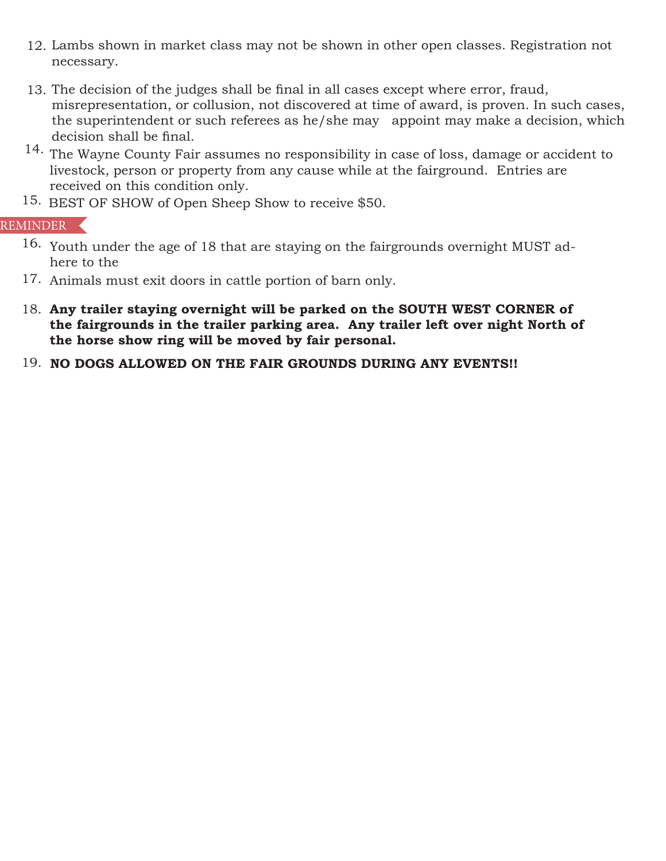- Lambs shown in market class may not be shown in other open classes. Registration not 12. necessary.
- 13. The decision of the judges shall be final in all cases except where error, fraud, misrepresentation, or collusion, not discovered at time of award, is proven. In such cases, the superintendent or such referees as he/she may appoint may make a decision, which decision shall be final.
- 14. The Wayne County Fair assumes no responsibility in case of loss, damage or accident to livestock, person or property from any cause while at the fairground. Entries are received on this condition only.
- 15. BEST OF SHOW of Open Sheep Show to receive \$50.

## REMINDER

- 16. Youth under the age of 18 that are staying on the fairgrounds overnight MUST adhere to the
- 17. Animals must exit doors in cattle portion of barn only.
- **Any trailer staying overnight will be parked on the SOUTH WEST CORNER of**  18. **the fairgrounds in the trailer parking area. Any trailer left over night North of the horse show ring will be moved by fair personal.**
- 19. NO DOGS ALLOWED ON THE FAIR GROUNDS DURING ANY EVENTS!!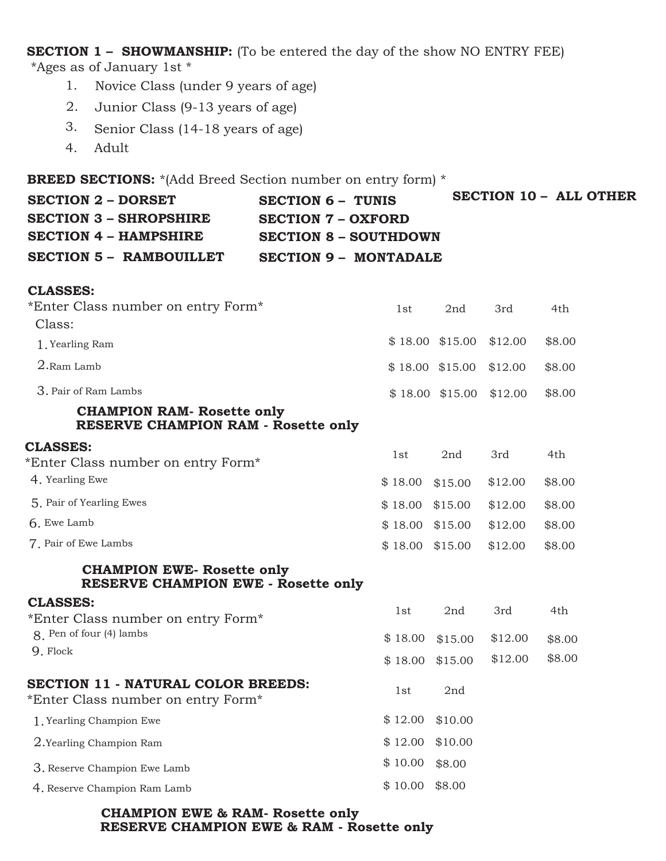**SECTION 1 – SHOWMANSHIP:** (To be entered the day of the show NO ENTRY FEE) \*Ages as of January 1st \*

- Novice Class (under 9 years of age) 1.
- Junior Class (9-13 years of age) 2.
- Senior Class (14-18 years of age) 3.
- Adult 4.

**BREED SECTIONS:** \*(Add Breed Section number on entry form) \*

| <b>SECTION 2 - DORSET</b>      | <b>SECTION 6 - TUNIS</b>     | SECTION 10 - ALL OTHER |
|--------------------------------|------------------------------|------------------------|
| SECTION 3 – SHROPSHIRE         | <b>SECTION 7 – OXFORD</b>    |                        |
| SECTION 4 – HAMPSHIRE          | SECTION 8 - SOUTHDOWN        |                        |
| <b>SECTION 5 - RAMBOUILLET</b> | <b>SECTION 9 - MONTADALE</b> |                        |

#### **CLASSES:**

| *Enter Class number on entry Form*                                              |         | 2nd              | 3rd     | 4th    |  |
|---------------------------------------------------------------------------------|---------|------------------|---------|--------|--|
| Class:                                                                          |         |                  |         |        |  |
| 1. Yearling Ram                                                                 |         | $$18.00$ \$15.00 | \$12.00 | \$8.00 |  |
| 2.Ram Lamb                                                                      |         | $$18.00$ \$15.00 | \$12.00 | \$8.00 |  |
| 3. Pair of Ram Lambs                                                            |         | $$18.00$ \$15.00 | \$12.00 | \$8.00 |  |
| <b>CHAMPION RAM- Rosette only</b><br><b>RESERVE CHAMPION RAM - Rosette only</b> |         |                  |         |        |  |
| <b>CLASSES:</b><br>*Enter Class number on entry Form*                           | 1st     | 2nd              | 3rd     | 4th    |  |
| 4. Yearling Ewe                                                                 | \$18.00 | \$15.00          | \$12.00 | \$8.00 |  |
| 5. Pair of Yearling Ewes                                                        | \$18.00 | \$15.00          | \$12.00 | \$8.00 |  |
| 6. Ewe Lamb                                                                     | \$18.00 | \$15.00          | \$12.00 | \$8.00 |  |
| 7. Pair of Ewe Lambs                                                            | \$18.00 | \$15.00          | \$12.00 | \$8.00 |  |
| <b>CHAMPION EWE- Rosette only</b><br><b>RESERVE CHAMPION EWE - Rosette only</b> |         |                  |         |        |  |
| <b>CLASSES:</b><br>*Enter Class number on entry Form*                           | 1st     | 2nd              | 3rd     | 4th    |  |
| 8. Pen of four (4) lambs                                                        | \$18.00 | \$15.00          | \$12.00 | \$8.00 |  |
| 9. Flock                                                                        | \$18.00 | \$15.00          | \$12.00 | \$8.00 |  |
| <b>SECTION 11 - NATURAL COLOR BREEDS:</b><br>*Enter Class number on entry Form* | 1st     | 2nd              |         |        |  |
| 1. Yearling Champion Ewe                                                        | \$12.00 | \$10.00          |         |        |  |
| 2. Yearling Champion Ram                                                        | \$12.00 | \$10.00          |         |        |  |
| 3. Reserve Champion Ewe Lamb                                                    | \$10.00 | \$8.00           |         |        |  |
| 4. Reserve Champion Ram Lamb                                                    | \$10.00 | \$8.00           |         |        |  |
|                                                                                 |         |                  |         |        |  |

#### **CHAMPION EWE & RAM- Rosette only RESERVE CHAMPION EWE & RAM - Rosette only**